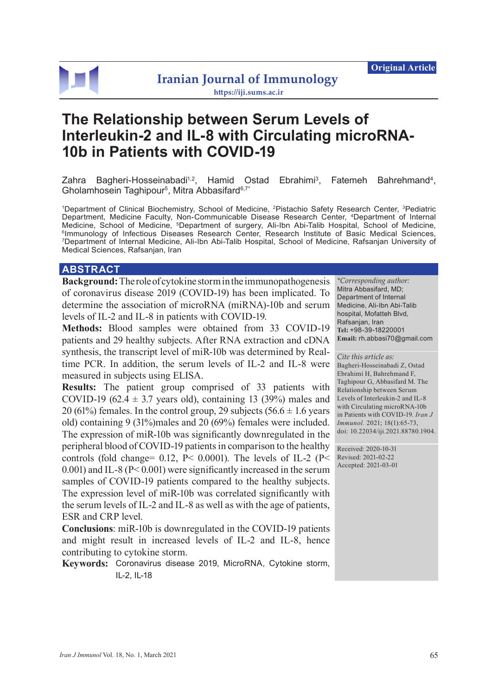

# **The Relationship between Serum Levels of Interleukin-2 and IL-8 with Circulating microRNA-10b in Patients with COVID-19**

Zahra Bagheri-Hosseinabadi<sup>1,2</sup>, Hamid Ostad Ebrahimi<sup>3</sup>, Fatemeh Bahrehmand<sup>4</sup>, Gholamhosein Taghipour<sup>5</sup>, Mitra Abbasifard<sup>6,7\*</sup>

1 Department of Clinical Biochemistry, School of Medicine, 2Pistachio Safety Research Center, 3Pediatric Department, Medicine Faculty, Non-Communicable Disease Research Center, 4Department of Internal Medicine, School of Medicine, <sup>5</sup>Department of surgery, Ali-Ibn Abi-Talib Hospital, School of Medicine, 6Immunology of Infectious Diseases Research Center, Research Institute of Basic Medical Sciences, 7 Department of Internal Medicine, Ali-Ibn Abi-Talib Hospital, School of Medicine, Rafsanjan University of Medical Sciences, Rafsanjan, Iran

### **ABSTRACT**

**Background:** The role of cytokine storm in the immunopathogenesis of coronavirus disease 2019 (COVID-19) has been implicated. To determine the association of microRNA (miRNA)-10b and serum levels of IL-2 and IL-8 in patients with COVID-19.

**Methods:** Blood samples were obtained from 33 COVID-19 patients and 29 healthy subjects. After RNA extraction and cDNA synthesis, the transcript level of miR-10b was determined by Realtime PCR. In addition, the serum levels of IL-2 and IL-8 were measured in subjects using ELISA.

**Results:** The patient group comprised of 33 patients with COVID-19 (62.4  $\pm$  3.7 years old), containing 13 (39%) males and 20 (61%) females. In the control group, 29 subjects (56.6  $\pm$  1.6 years old) containing 9 (31%)males and 20 (69%) females were included. The expression of miR-10b was significantly downregulated in the peripheral blood of COVID-19 patients in comparison to the healthy controls (fold change= 0.12, P< 0.0001). The levels of IL-2 (P< 0.001) and IL-8 (P< 0.001) were significantly increased in the serum samples of COVID-19 patients compared to the healthy subjects. The expression level of miR-10b was correlated significantly with the serum levels of IL-2 and IL-8 as well as with the age of patients, ESR and CRP level.

**Conclusions**: miR-10b is downregulated in the COVID-19 patients and might result in increased levels of IL-2 and IL-8, hence contributing to cytokine storm.

**Keywords:** Coronavirus disease 2019, MicroRNA, Cytokine storm, IL-2, IL-18

*\*Corresponding author:* Mitra Abbasifard, MD; Department of Internal Medicine, Ali-Ibn Abi-Talib hospital, Mofatteh Blvd, Rafsanjan, Iran **Tel:** +98-39-18220001 **Email:** rh.abbasi70@gmail.com

#### *Cite this article as:*

Bagheri-Hosseinabadi Z, Ostad Ebrahimi H, Bahrehmand F, Taghipour G, Abbasifard M. The Relationship between Serum Levels of Interleukin-2 and IL-8 with Circulating microRNA-10b in Patients with COVID-19. *Iran J Immunol.* 2021; 18(1):65-73, doi: 10.22034/iji.2021.88780.1904.

Received: 2020-10-31 Revised: 2021-02-22 Accepted: 2021-03-01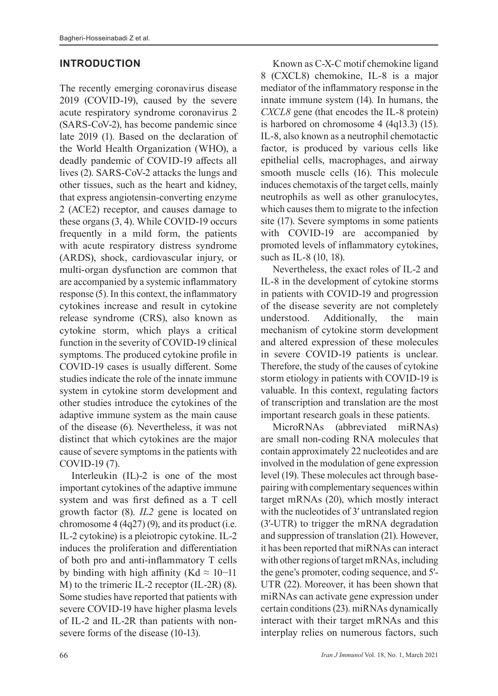### **INTRODUCTION**

The recently emerging coronavirus disease 2019 (COVID-19), caused by the severe acute respiratory syndrome coronavirus 2 (SARS-CoV-2), has become pandemic since late 2019 (1). Based on the declaration of the World Health Organization (WHO), a deadly pandemic of COVID-19 affects all lives (2). SARS-CoV-2 attacks the lungs and other tissues, such as the heart and kidney, that express angiotensin-converting enzyme 2 (ACE2) receptor, and causes damage to these organs (3, 4). While COVID-19 occurs frequently in a mild form, the patients with acute respiratory distress syndrome (ARDS), shock, cardiovascular injury, or multi-organ dysfunction are common that are accompanied by a systemic inflammatory response (5). In this context, the inflammatory cytokines increase and result in cytokine release syndrome (CRS), also known as cytokine storm, which plays a critical function in the severity of COVID-19 clinical symptoms.The produced cytokine profile in COVID-19 cases is usually different. Some studies indicate the role of the innate immune system in cytokine storm development and other studies introduce the cytokines of the adaptive immune system as the main cause of the disease (6). Nevertheless, it was not distinct that which cytokines are the major cause of severe symptoms in the patients with COVID-19 (7).

Interleukin (IL)-2 is one of the most important cytokines of the adaptive immune system and was first defined as a T cell growth factor (8). *IL2* gene is located on chromosome 4 (4q27) (9), and its product (i.e. IL-2 cytokine) is a pleiotropic cytokine. IL-2 induces the proliferation and differentiation of both pro and anti-inflammatory T cells by binding with high affinity (Kd  $\approx 10$ −11 M) to the trimeric IL-2 receptor (IL-2R) (8). Some studies have reported that patients with severe COVID-19 have higher plasma levels of IL-2 and IL-2R than patients with nonsevere forms of the disease (10-13).

Known as C-X-C motif chemokine ligand 8 (CXCL8) chemokine, IL-8 is a major mediator of the inflammatory response in the innate immune system (14). In humans, the *CXCL8* gene (that encodes the IL-8 protein) is harbored on chromosome 4 (4q13.3) (15). IL-8, also known as a neutrophil chemotactic factor, is produced by various cells like epithelial cells, macrophages, and airway smooth muscle cells (16). This molecule induces chemotaxis of the target cells, mainly neutrophils as well as other granulocytes, which causes them to migrate to the infection site (17). Severe symptoms in some patients with COVID-19 are accompanied by promoted levels of inflammatory cytokines, such as IL-8 (10, 18).

Nevertheless, the exact roles of IL-2 and IL-8 in the development of cytokine storms in patients with COVID-19 and progression of the disease severity are not completely understood. Additionally, the main mechanism of cytokine storm development and altered expression of these molecules in severe COVID-19 patients is unclear. Therefore, the study of the causes of cytokine storm etiology in patients with COVID-19 is valuable. In this context, regulating factors of transcription and translation are the most important research goals in these patients.

MicroRNAs (abbreviated miRNAs) are small [non-coding RNA](https://en.wikipedia.org/wiki/Non-coding_RNA) molecules that contain approximately 22 [nucleotides](https://en.wikipedia.org/wiki/Nucleotide) and are involved in the modulation of gene expression level (19). These molecules act through basepairing with complementary sequences within target mRNAs (20), which mostly interact with the nucleotides of 3' untranslated region (3′-UTR) to trigger the mRNA degradation and suppression of translation (21). However, it has been reported that miRNAs can interact with other regions of target mRNAs, including the gene's promoter, coding sequence, and 5′- UTR (22). Moreover, it has been shown that miRNAs can activate gene expression under certain conditions (23). miRNAs dynamically interact with their target mRNAs and this interplay relies on numerous factors, such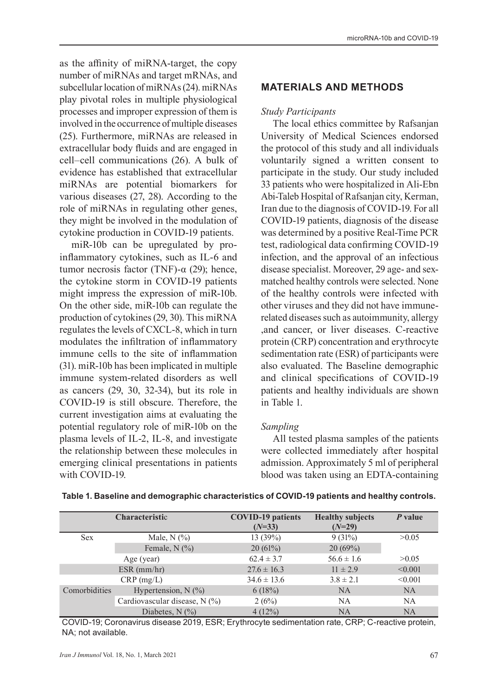as the affinity of miRNA-target, the copy number of miRNAs and target mRNAs, and subcellular location of miRNAs (24). miRNAs play pivotal roles in multiple physiological processes and improper expression of them is involved in the occurrence of multiple diseases (25). Furthermore, miRNAs are released in extracellular body fluids and are engaged in cell–cell communications (26). A bulk of evidence has established that extracellular miRNAs are potential biomarkers for various diseases (27, 28). According to the role of miRNAs in regulating other genes, they might be involved in the modulation of cytokine production in COVID-19 patients.

miR-10b can be upregulated by proinflammatory cytokines, such as IL-6 and tumor necrosis factor (TNF)- $α$  (29); hence, the cytokine storm in COVID-19 patients might impress the expression of miR-10b. On the other side, miR-10b can regulate the production of cytokines (29, 30). This miRNA regulates the levels of CXCL-8, which in turn modulates the infiltration of inflammatory immune cells to the site of inflammation (31). miR-10b has been implicated in multiple immune system-related disorders as well as cancers (29, 30, 32-34), but its role in COVID-19 is still obscure. Therefore, the current investigation aims at evaluating the potential regulatory role of miR-10b on the plasma levels of IL-2, IL-8, and investigate the relationship between these molecules in emerging clinical presentations in patients with COVID-19.

### **MATERIALS AND METHODS**

#### *Study Participants*

The local ethics committee by Rafsanjan University of Medical Sciences endorsed the protocol of this study and all individuals voluntarily signed a written consent to participate in the study. Our study included 33 patients who were hospitalized in Ali-Ebn Abi-Taleb Hospital of Rafsanjan city, Kerman, Iran due to the diagnosis of COVID-19. For all COVID-19 patients, diagnosis of the disease was determined by a positive Real-Time PCR test, radiological data confirming COVID-19 infection, and the approval of an infectious disease specialist. Moreover, 29 age- and sexmatched healthy controls were selected. None of the healthy controls were infected with other viruses and they did not have immunerelated diseases such as autoimmunity, allergy ,and cancer, or liver diseases. C-reactive protein (CRP) concentration and erythrocyte sedimentation rate (ESR) of participants were also evaluated. The Baseline demographic and clinical specifications of COVID-19 patients and healthy individuals are shown in Table 1.

### *Sampling*

All tested plasma samples of the patients were collected immediately after hospital admission. Approximately 5 ml of peripheral blood was taken using an EDTA-containing

| Characteristic |                               | <b>COVID-19</b> patients<br>$(N=33)$ | <b>Healthy subjects</b><br>$(N=29)$ | P value   |  |
|----------------|-------------------------------|--------------------------------------|-------------------------------------|-----------|--|
| <b>Sex</b>     | Male, $N$ $(\%)$              | 13(39%)                              | 9(31%)                              | >0.05     |  |
|                | Female, $N$ (%)               | 20(61%)                              | 20(69%)                             |           |  |
|                | Age (year)                    | $62.4 \pm 3.7$                       | $56.6 \pm 1.6$                      | >0.05     |  |
| $ESR$ (mm/hr)  |                               | $27.6 \pm 16.3$                      | $11 \pm 2.9$                        | < 0.001   |  |
| $CRP$ (mg/L)   |                               | $34.6 \pm 13.6$                      | $3.8 \pm 2.1$                       | < 0.001   |  |
| Comorbidities  | Hypertension, $N$ (%)         | 6(18%)                               | <b>NA</b>                           | <b>NA</b> |  |
|                | Cardiovascular disease, N (%) | 2(6%)                                | <b>NA</b>                           | <b>NA</b> |  |
|                | Diabetes, $N$ $(\%)$          | 4(12%)                               | <b>NA</b>                           | <b>NA</b> |  |

#### **Table 1. Baseline and demographic characteristics of COVID-19 patients and healthy controls.**

COVID-19; Coronavirus disease 2019, ESR; Erythrocyte sedimentation rate, CRP; C-reactive protein, NA; not available.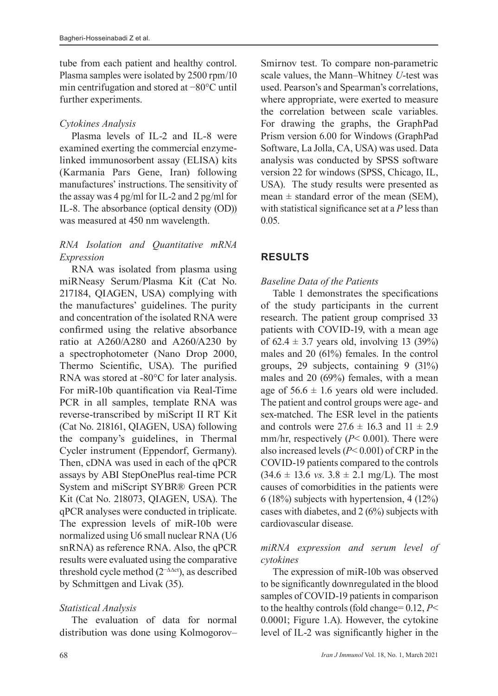tube from each patient and healthy control. Plasma samples were isolated by 2500 rpm/10 min centrifugation and stored at −80°C until further experiments.

### *Cytokines Analysis*

Plasma levels of IL-2 and IL-8 were examined exerting the commercial enzymelinked immunosorbent assay (ELISA) kits (Karmania Pars Gene, Iran) following manufactures' instructions. The sensitivity of the assay was 4 pg/ml for IL-2 and 2 pg/ml for IL-8. The absorbance (optical density (OD)) was measured at 450 nm wavelength.

### *RNA Isolation and Quantitative mRNA Expression*

RNA was isolated from plasma using miRNeasy Serum/Plasma Kit (Cat No. 217184, QIAGEN, USA) complying with the manufactures' guidelines. The purity and concentration of the isolated RNA were confirmed using the relative absorbance ratio at A260/A280 and A260/A230 by a spectrophotometer (Nano Drop 2000, Thermo Scientific, USA). The purified RNA was stored at -80°C for later analysis. For miR-10b quantification via Real-Time PCR in all samples, template RNA was reverse-transcribed by miScript II RT Kit (Cat No. 218161, QIAGEN, USA) following the company's guidelines, in Thermal Cycler instrument (Eppendorf, Germany). Then, cDNA was used in each of the qPCR assays by ABI StepOnePlus real-time PCR System and miScript SYBR® Green PCR Kit (Cat No. 218073, QIAGEN, USA). The qPCR analyses were conducted in triplicate. The expression levels of miR-10b were normalized using U6 small nuclear RNA (U6 snRNA) as reference RNA. Also, the qPCR results were evaluated using the comparative threshold cycle method (2−∆∆ct), as described by Schmittgen and Livak (35).

## *Statistical Analysis*

The evaluation of data for normal distribution was done using Kolmogorov– Smirnov test. To compare non-parametric scale values, the Mann–Whitney *U*-test was used. Pearson's and Spearman's correlations, where appropriate, were exerted to measure the correlation between scale variables. For drawing the graphs, the GraphPad Prism version 6.00 for Windows (GraphPad Software, La Jolla, CA, USA) was used. Data analysis was conducted by SPSS software version 22 for windows (SPSS, Chicago, IL, USA). The study results were presented as mean  $\pm$  standard error of the mean (SEM), with statistical significance set at a *P* less than 0.05.

# **RESULTS**

### *Baseline Data of the Patients*

Table 1 demonstrates the specifications of the study participants in the current research. The patient group comprised 33 patients with COVID-19, with a mean age of  $62.4 \pm 3.7$  years old, involving 13 (39%) males and 20 (61%) females. In the control groups, 29 subjects, containing 9 (31%) males and 20 (69%) females, with a mean age of  $56.6 \pm 1.6$  years old were included. The patient and control groups were age- and sex-matched. The ESR level in the patients and controls were  $27.6 \pm 16.3$  and  $11 \pm 2.9$ mm/hr, respectively (*P*< 0.001). There were also increased levels (*P*< 0.001) of CRP in the COVID-19 patients compared to the controls  $(34.6 \pm 13.6 \text{ vs. } 3.8 \pm 2.1 \text{ mg/L})$ . The most causes of comorbidities in the patients were 6 (18%) subjects with hypertension, 4 (12%) cases with diabetes, and 2 (6%) subjects with cardiovascular disease.

### *miRNA expression and serum level of cytokines*

The expression of miR-10b was observed to be significantly downregulated in the blood samples of COVID-19 patients in comparison to the healthy controls (fold change= 0.12, *P*< 0.0001; Figure 1.A). However, the cytokine level of IL-2 was significantly higher in the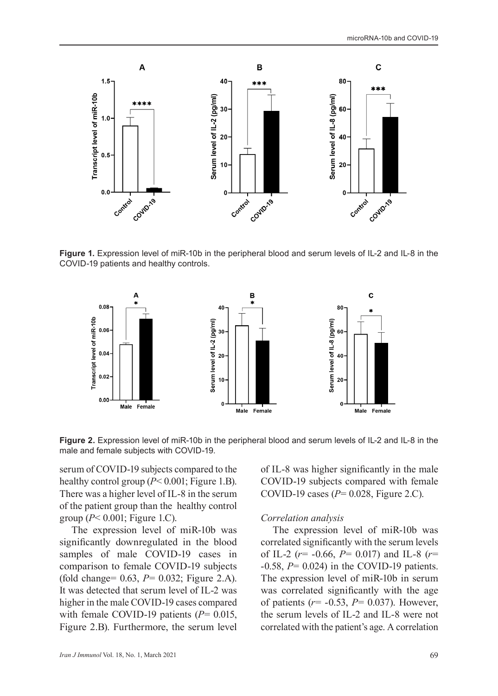

**Figure 1.** Expression level of miR-10b in the peripheral blood and serum levels of IL-2 and IL-8 in the COVID-19 patients and healthy controls.



**Figure 2.** Expression level of miR-10b in the peripheral blood and serum levels of IL-2 and IL-8 in the male and female subjects with COVID-19.

serum of COVID-19 subjects compared to the healthy control group (*P*< 0.001; Figure 1.B). There was a higher level of IL-8 in the serum of the patient group than the healthy control group (*P*< 0.001; Figure 1.C).

The expression level of miR-10b was significantly downregulated in the blood samples of male COVID-19 cases in comparison to female COVID-19 subjects (fold change= 0.63, *P*= 0.032; Figure 2.A). It was detected that serum level of IL-2 was higher in the male COVID-19 cases compared with female COVID-19 patients ( $P = 0.015$ , Figure 2.B). Furthermore, the serum level of IL-8 was higher significantly in the male COVID-19 subjects compared with female COVID-19 cases (*P*= 0.028, Figure 2.C).

#### *Correlation analysis*

The expression level of miR-10b was correlated significantly with the serum levels of IL-2 (*r*= -0.66, *P*= 0.017) and IL-8 (*r*= -0.58, *P*= 0.024) in the COVID-19 patients. The expression level of miR-10b in serum was correlated significantly with the age of patients (*r*= -0.53, *P*= 0.037). However, the serum levels of IL-2 and IL-8 were not correlated with the patient's age. A correlation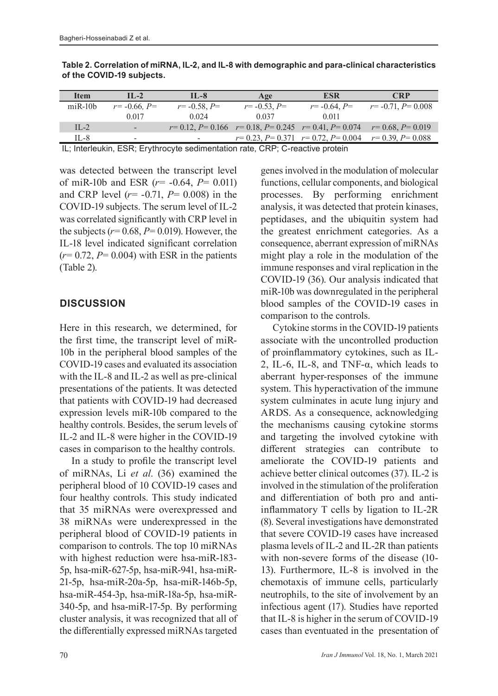| <b>Item</b> | $\Pi -2$            | $IL-8$           | Age              | <b>ESR</b>                                                              | <b>CRP</b>                                            |
|-------------|---------------------|------------------|------------------|-------------------------------------------------------------------------|-------------------------------------------------------|
| $miR-10h$   | $r = -0.66$ , $P =$ | $r = -0.58, P =$ | $r = -0.53, P =$ | $r = -0.64, P =$                                                        | $r = -0.71$ , $P = 0.008$                             |
|             | 0.017               | 0.024            | 0.037            | 0.011                                                                   |                                                       |
| $II - 2$    | -                   |                  |                  | $r=0.12, P=0.166$ $r=0.18, P=0.245$ $r=0.41, P=0.074$ $r=0.68, P=0.019$ |                                                       |
| IL-8        | -                   | -                |                  |                                                                         | $r=0.23, P=0.371$ $r=0.72, P=0.004$ $r=0.39, P=0.088$ |

**Table 2. Correlation of miRNA, IL-2, and IL-8 with demographic and para-clinical characteristics of the COVID-19 subjects.**

IL; Interleukin, ESR; Erythrocyte sedimentation rate, CRP; C-reactive protein

was detected between the transcript level of miR-10b and ESR (*r*= -0.64, *P*= 0.011) and CRP level (*r*= -0.71, *P*= 0.008) in the COVID-19 subjects. The serum level of IL-2 was correlated significantly with CRP level in the subjects ( $r = 0.68$ ,  $P = 0.019$ ). However, the IL-18 level indicated significant correlation  $(r= 0.72, P= 0.004)$  with ESR in the patients (Table 2).

### **DISCUSSION**

Here in this research, we determined, for the first time, the transcript level of miR-10b in the peripheral blood samples of the COVID-19 cases and evaluated its association with the IL-8 and IL-2 as well as pre-clinical presentations of the patients. It was detected that patients with COVID-19 had decreased expression levels miR-10b compared to the healthy controls. Besides, the serum levels of IL-2 and IL-8 were higher in the COVID-19 cases in comparison to the healthy controls.

In a study to profile the transcript level of miRNAs, Li *et al*. (36) examined the peripheral blood of 10 COVID-19 cases and four healthy controls. This study indicated that 35 miRNAs were overexpressed and 38 miRNAs were underexpressed in the peripheral blood of COVID-19 patients in comparison to controls. The top 10 miRNAs with highest reduction were hsa-miR-183- 5p, hsa-miR-627-5p, hsa-miR-941, hsa-miR-21-5p, hsa-miR-20a-5p, hsa-miR-146b-5p, hsa-miR-454-3p, hsa-miR-18a-5p, hsa-miR-340-5p, and hsa-miR-17-5p. By performing cluster analysis, it was recognized that all of the differentially expressed miRNAs targeted

genes involved in the modulation of molecular functions, cellular components, and biological processes. By performing enrichment analysis, it was detected that protein kinases, peptidases, and the ubiquitin system had the greatest enrichment categories. As a consequence, aberrant expression of miRNAs might play a role in the modulation of the immune responses and viral replication in the COVID-19 (36). Our analysis indicated that miR-10b was downregulated in the peripheral blood samples of the COVID-19 cases in comparison to the controls.

Cytokine storms in the COVID-19 patients associate with the uncontrolled production of proinflammatory cytokines, such as IL-2, IL-6, IL-8, and TNF-α, which leads to aberrant hyper-responses of the immune system. This hyperactivation of the immune system culminates in acute lung injury and ARDS. As a consequence, acknowledging the mechanisms causing cytokine storms and targeting the involved cytokine with different strategies can contribute to ameliorate the COVID-19 patients and achieve better clinical outcomes (37). IL-2 is involved in the stimulation of the proliferation and differentiation of both pro and antiinflammatory T cells by ligation to IL-2R (8). Several investigations have demonstrated that severe COVID-19 cases have increased plasma levels of IL-2 and IL-2R than patients with non-severe forms of the disease (10- 13). Furthermore, IL-8 is involved in the chemotaxis of immune cells, particularly neutrophils, to the site of involvement by an infectious agent (17). Studies have reported that IL-8 is higher in the serum of COVID-19 cases than eventuated in the presentation of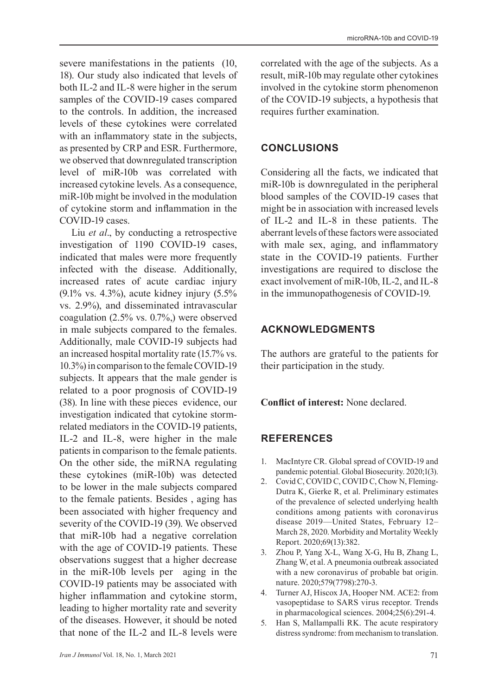severe manifestations in the patients (10, 18). Our study also indicated that levels of both IL-2 and IL-8 were higher in the serum samples of the COVID-19 cases compared to the controls. In addition, the increased levels of these cytokines were correlated with an inflammatory state in the subjects, as presented by CRP and ESR. Furthermore, we observed that downregulated transcription level of miR-10b was correlated with increased cytokine levels. As a consequence, miR-10b might be involved in the modulation of cytokine storm and inflammation in the COVID-19 cases.

Liu *et al*., by conducting a retrospective investigation of 1190 COVID-19 cases, indicated that males were more frequently infected with the disease. Additionally, increased rates of acute cardiac injury (9.1% vs. 4.3%), acute kidney injury (5.5% vs. 2.9%), and disseminated intravascular coagulation (2.5% vs. 0.7%,) were observed in male subjects compared to the females. Additionally, male COVID-19 subjects had an increased hospital mortality rate (15.7% vs. 10.3%) in comparison to the female COVID-19 subjects. It appears that the male gender is related to a poor prognosis of COVID-19 (38). In line with these pieces evidence, our investigation indicated that cytokine stormrelated mediators in the COVID-19 patients, IL-2 and IL-8, were higher in the male patients in comparison to the female patients. On the other side, the miRNA regulating these cytokines (miR-10b) was detected to be lower in the male subjects compared to the female patients. Besides , aging has been associated with higher frequency and severity of the COVID-19 (39). We observed that miR-10b had a negative correlation with the age of COVID-19 patients. These observations suggest that a higher decrease in the miR-10b levels per aging in the COVID-19 patients may be associated with higher inflammation and cytokine storm, leading to higher mortality rate and severity of the diseases. However, it should be noted that none of the IL-2 and IL-8 levels were

correlated with the age of the subjects. As a result, miR-10b may regulate other cytokines involved in the cytokine storm phenomenon of the COVID-19 subjects, a hypothesis that requires further examination.

### **CONCLUSIONS**

Considering all the facts, we indicated that miR-10b is downregulated in the peripheral blood samples of the COVID-19 cases that might be in association with increased levels of IL-2 and IL-8 in these patients. The aberrant levels of these factors were associated with male sex, aging, and inflammatory state in the COVID-19 patients. Further investigations are required to disclose the exact involvement of miR-10b, IL-2, and IL-8 in the immunopathogenesis of COVID-19.

### **ACKNOWLEDGMENTS**

The authors are grateful to the patients for their participation in the study.

**Conflict of interest:** None declared.

### **REFERENCES**

- 1. MacIntyre CR. Global spread of COVID-19 and pandemic potential. Global Biosecurity. 2020;1(3).
- 2. Covid C, COVID C, COVID C, Chow N, Fleming-Dutra K, Gierke R, et al. Preliminary estimates of the prevalence of selected underlying health conditions among patients with coronavirus disease 2019—United States, February 12– March 28, 2020. Morbidity and Mortality Weekly Report. 2020;69(13):382.
- 3. Zhou P, Yang X-L, Wang X-G, Hu B, Zhang L, Zhang W, et al. A pneumonia outbreak associated with a new coronavirus of probable bat origin. nature. 2020;579(7798):270-3.
- 4. Turner AJ, Hiscox JA, Hooper NM. ACE2: from vasopeptidase to SARS virus receptor. Trends in pharmacological sciences. 2004;25(6):291-4.
- 5. Han S, Mallampalli RK. The acute respiratory distress syndrome: from mechanism to translation.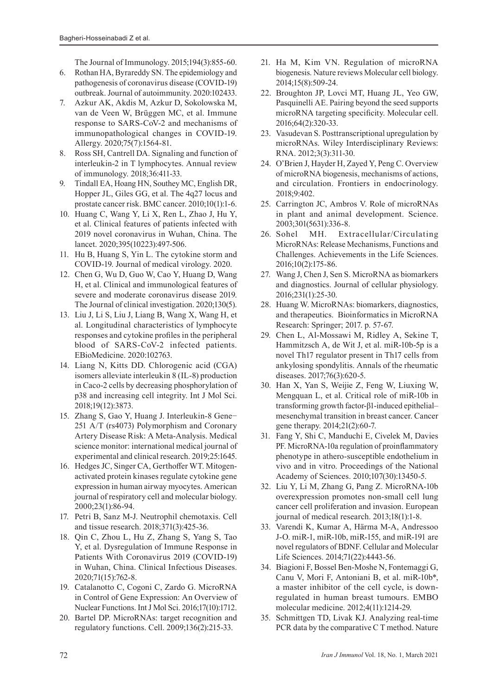The Journal of Immunology. 2015;194(3):855-60.

- 6. Rothan HA, Byrareddy SN. The epidemiology and pathogenesis of coronavirus disease (COVID-19) outbreak. Journal of autoimmunity. 2020:102433.
- 7. Azkur AK, Akdis M, Azkur D, Sokolowska M, van de Veen W, Brüggen MC, et al. Immune response to SARS‐CoV‐2 and mechanisms of immunopathological changes in COVID‐19. Allergy. 2020;75(7):1564-81.
- 8. Ross SH, Cantrell DA. Signaling and function of interleukin-2 in T lymphocytes. Annual review of immunology. 2018;36:411-33.
- 9. Tindall EA, Hoang HN, Southey MC, English DR, Hopper JL, Giles GG, et al. The 4q27 locus and prostate cancer risk. BMC cancer. 2010;10(1):1-6.
- 10. Huang C, Wang Y, Li X, Ren L, Zhao J, Hu Y, et al. Clinical features of patients infected with 2019 novel coronavirus in Wuhan, China. The lancet. 2020;395(10223):497-506.
- 11. Hu B, Huang S, Yin L. The cytokine storm and COVID‐19. Journal of medical virology. 2020.
- 12. Chen G, Wu D, Guo W, Cao Y, Huang D, Wang H, et al. Clinical and immunological features of severe and moderate coronavirus disease 2019. The Journal of clinical investigation. 2020;130(5).
- 13. Liu J, Li S, Liu J, Liang B, Wang X, Wang H, et al. Longitudinal characteristics of lymphocyte responses and cytokine profiles in the peripheral blood of SARS-CoV-2 infected patients. EBioMedicine. 2020:102763.
- 14. Liang N, Kitts DD. Chlorogenic acid (CGA) isomers alleviate interleukin 8 (IL-8) production in Caco-2 cells by decreasing phosphorylation of p38 and increasing cell integrity. Int J Mol Sci. 2018;19(12):3873.
- 15. Zhang S, Gao Y, Huang J. Interleukin-8 Gene− 251 A/T (rs4073) Polymorphism and Coronary Artery Disease Risk: A Meta-Analysis. Medical science monitor: international medical journal of experimental and clinical research. 2019;25:1645.
- 16. Hedges JC, Singer CA, Gerthoffer WT. Mitogenactivated protein kinases regulate cytokine gene expression in human airway myocytes. American journal of respiratory cell and molecular biology. 2000;23(1):86-94.
- 17. Petri B, Sanz M-J. Neutrophil chemotaxis. Cell and tissue research. 2018;371(3):425-36.
- 18. Qin C, Zhou L, Hu Z, Zhang S, Yang S, Tao Y, et al. Dysregulation of Immune Response in Patients With Coronavirus 2019 (COVID-19) in Wuhan, China. Clinical Infectious Diseases. 2020;71(15):762-8.
- 19. Catalanotto C, Cogoni C, Zardo G. MicroRNA in Control of Gene Expression: An Overview of Nuclear Functions. Int J Mol Sci. 2016;17(10):1712.
- 20. Bartel DP. MicroRNAs: target recognition and regulatory functions. Cell. 2009;136(2):215-33.
- 21. Ha M, Kim VN. Regulation of microRNA biogenesis. Nature reviews Molecular cell biology. 2014;15(8):509-24.
- 22. Broughton JP, Lovci MT, Huang JL, Yeo GW, Pasquinelli AE. Pairing beyond the seed supports microRNA targeting specificity. Molecular cell. 2016;64(2):320-33.
- 23. Vasudevan S. Posttranscriptional upregulation by microRNAs. Wiley Interdisciplinary Reviews: RNA. 2012;3(3):311-30.
- 24. O'Brien J, Hayder H, Zayed Y, Peng C. Overview of microRNA biogenesis, mechanisms of actions, and circulation. Frontiers in endocrinology. 2018;9:402.
- 25. Carrington JC, Ambros V. Role of microRNAs in plant and animal development. Science. 2003;301(5631):336-8.
- 26. Sohel MH. Extracellular/Circulating MicroRNAs: Release Mechanisms, Functions and Challenges. Achievements in the Life Sciences. 2016;10(2):175-86.
- 27. Wang J, Chen J, Sen S. MicroRNA as biomarkers and diagnostics. Journal of cellular physiology. 2016;231(1):25-30.
- 28. Huang W. MicroRNAs: biomarkers, diagnostics, and therapeutics. Bioinformatics in MicroRNA Research: Springer; 2017. p. 57-67.
- 29. Chen L, Al-Mossawi M, Ridley A, Sekine T, Hammitzsch A, de Wit J, et al. miR-10b-5p is a novel Th17 regulator present in Th17 cells from ankylosing spondylitis. Annals of the rheumatic diseases. 2017;76(3):620-5.
- 30. Han X, Yan S, Weijie Z, Feng W, Liuxing W, Mengquan L, et al. Critical role of miR-10b in transforming growth factor-β1-induced epithelial– mesenchymal transition in breast cancer. Cancer gene therapy. 2014;21(2):60-7.
- 31. Fang Y, Shi C, Manduchi E, Civelek M, Davies PF. MicroRNA-10a regulation of proinflammatory phenotype in athero-susceptible endothelium in vivo and in vitro. Proceedings of the National Academy of Sciences. 2010;107(30):13450-5.
- 32. Liu Y, Li M, Zhang G, Pang Z. MicroRNA-10b overexpression promotes non-small cell lung cancer cell proliferation and invasion. European journal of medical research. 2013;18(1):1-8.
- 33. Varendi K, Kumar A, Härma M-A, Andressoo J-O. miR-1, miR-10b, miR-155, and miR-191 are novel regulators of BDNF. Cellular and Molecular Life Sciences. 2014;71(22):4443-56.
- 34. Biagioni F, Bossel Ben‐Moshe N, Fontemaggi G, Canu V, Mori F, Antoniani B, et al. miR‐10b\*, a master inhibitor of the cell cycle, is down‐ regulated in human breast tumours. EMBO molecular medicine. 2012;4(11):1214-29.
- 35. Schmittgen TD, Livak KJ. Analyzing real-time PCR data by the comparative C T method. Nature